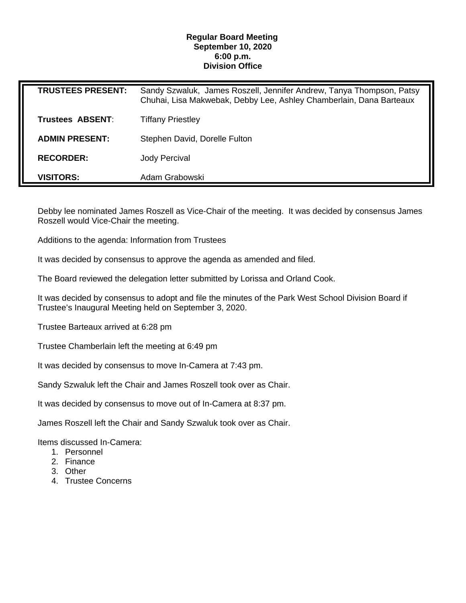## **Regular Board Meeting September 10, 2020 6:00 p.m. Division Office**

| <b>TRUSTEES PRESENT:</b> | Sandy Szwaluk, James Roszell, Jennifer Andrew, Tanya Thompson, Patsy<br>Chuhai, Lisa Makwebak, Debby Lee, Ashley Chamberlain, Dana Barteaux |
|--------------------------|---------------------------------------------------------------------------------------------------------------------------------------------|
| <b>Trustees ABSENT:</b>  | <b>Tiffany Priestley</b>                                                                                                                    |
| <b>ADMIN PRESENT:</b>    | Stephen David, Dorelle Fulton                                                                                                               |
| <b>RECORDER:</b>         | <b>Jody Percival</b>                                                                                                                        |
| <b>VISITORS:</b>         | Adam Grabowski                                                                                                                              |

Debby lee nominated James Roszell as Vice-Chair of the meeting. It was decided by consensus James Roszell would Vice-Chair the meeting.

Additions to the agenda: Information from Trustees

It was decided by consensus to approve the agenda as amended and filed.

The Board reviewed the delegation letter submitted by Lorissa and Orland Cook.

It was decided by consensus to adopt and file the minutes of the Park West School Division Board if Trustee's Inaugural Meeting held on September 3, 2020.

Trustee Barteaux arrived at 6:28 pm

Trustee Chamberlain left the meeting at 6:49 pm

It was decided by consensus to move In-Camera at 7:43 pm.

Sandy Szwaluk left the Chair and James Roszell took over as Chair.

It was decided by consensus to move out of In-Camera at 8:37 pm.

James Roszell left the Chair and Sandy Szwaluk took over as Chair.

Items discussed In-Camera:

- 1. Personnel
- 2. Finance
- 3. Other
- 4. Trustee Concerns